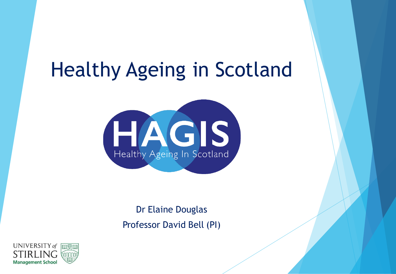# Healthy Ageing in Scotland



Dr Elaine Douglas Professor David Bell (PI)

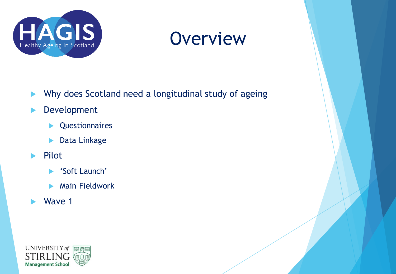

### **Overview**

- Why does Scotland need a longitudinal study of ageing
- **Development** 
	- **D**</del> Questionnaires
	- **Data Linkage**
- $\blacktriangleright$  Pilot
	- ▶ 'Soft Launch'
	- **Main Fieldwork**
- Wave 1

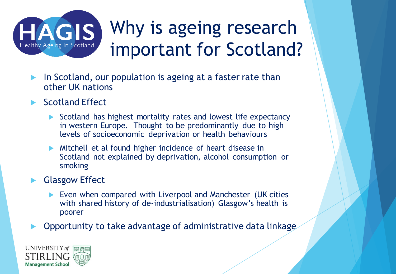

### Why is ageing research important for Scotland?

- In Scotland, our population is ageing at a faster rate than other UK nations
- Scotland Effect
	- Scotland has highest mortality rates and lowest life expectancy in western Europe. Thought to be predominantly due to high levels of socioeconomic deprivation or health behaviours
	- Mitchell et al found higher incidence of heart disease in Scotland not explained by deprivation, alcohol consumption or smoking
- Glasgow Effect
	- Even when compared with Liverpool and Manchester (UK cities with shared history of de-industrialisation) Glasgow's health is poorer
- Opportunity to take advantage of administrative data linkage

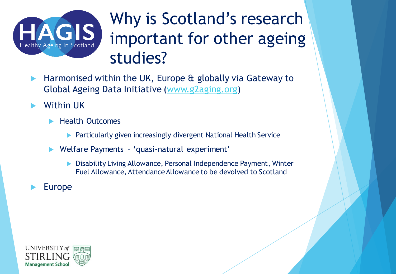

### Why is Scotland's research important for other ageing studies?

- Harmonised within the UK, Europe & globally via Gateway to Global Ageing Data Initiative [\(www.g2aging.org\)](http://www.g2aging.org/)
- Within UK
	- Health Outcomes
		- **Particularly given increasingly divergent National Health Service**
	- Welfare Payments 'quasi-natural experiment'
		- ▶ Disability Living Allowance, Personal Independence Payment, Winter Fuel Allowance, Attendance Allowance to be devolved to Scotland
- Europe

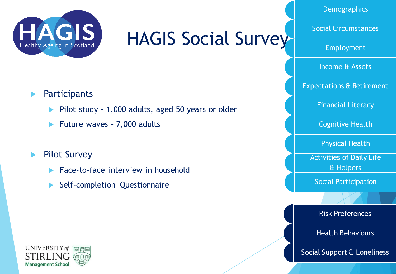

### HAGIS Social Survey

**Demographics** 

Social Circumstances

Employment

Income & Assets

Expectations & Retirement

Financial Literacy

Cognitive Health

Physical Health

Activities of Daily Life & Helpers

Social Participation

Risk Preferences

Health Behaviours

Social Support & Loneliness

**Participants** 

- Pilot study 1,000 adults, aged 50 years or older
- Future waves 7,000 adults
- **Pilot Survey** 
	- Face-to-face interview in household
	- Self-completion Questionnaire

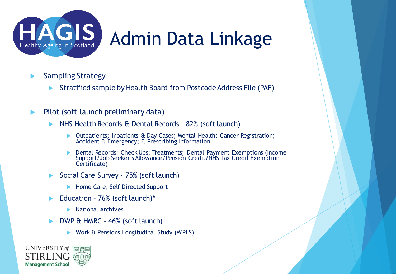

### Admin Data Linkage

- ▶ Sampling Strategy
	- Stratified sample by Health Board from Postcode Address File (PAF)
- $\blacktriangleright$  Pilot (soft launch preliminary data)
	- NHS Health Records & Dental Records 82% (soft launch)
		- ▶ Outpatients; Inpatients & Day Cases; Mental Health; Cancer Registration; Accident & Emergency; & Prescribing Information
		- Dental Records: Check Ups; Treatments; Dental Payment Exemptions (Income Support/Job Seeker's Allowance/Pension Credit/NHS Tax Credit Exemption Certificate)
	- Social Care Survey 75% (soft launch)
		- Home Care, Self Directed Support
	- Education  $76%$  (soft launch)\*
		- $\blacktriangleright$  National Archives
	- DWP & HMRC 46% (soft launch)
		- Work & Pensions Longitudinal Study (WPLS)

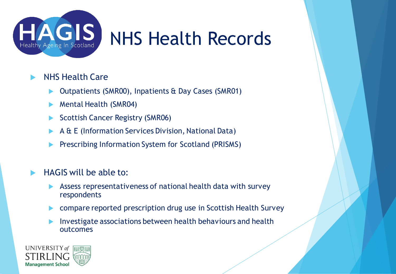

## NHS Health Records

#### NHS Health Care

- Outpatients (SMR00), Inpatients & Day Cases (SMR01)
- **Mental Health (SMR04)**
- Scottish Cancer Registry (SMR06)
- A & E (Information Services Division, National Data)
- Prescribing Information System for Scotland (PRISMS)

#### HAGIS will be able to:

- Assess representativeness of national health data with survey respondents
- compare reported prescription drug use in Scottish Health Survey
- **Investigate associations between health behaviours and health** outcomes

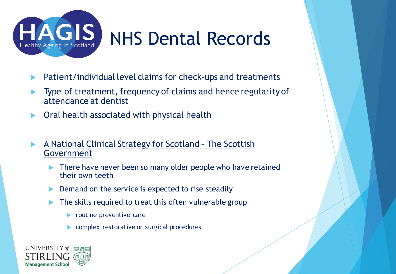

# NHS Dental Records

- Patient/individual level claims for check-ups and treatments
- Type of treatment, frequency of claims and hence regularity of attendance at dentist
- Oral health associated with physical health
- A National Clinical Strategy for Scotland The Scottish Government
	- There have never been so many older people who have retained their own teeth
	- Demand on the service is expected to rise steadily
	- The skills required to treat this often vulnerable group
		- **Peropentive care**
		- complex restorative or surgical procedures

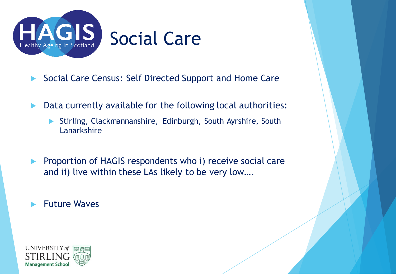

- Social Care Census: Self Directed Support and Home Care
- **Data currently available for the following local authorities:** 
	- Stirling, Clackmannanshire, Edinburgh, South Ayrshire, South Lanarkshire
- **Proportion of HAGIS respondents who i) receive social care** and ii) live within these LAs likely to be very low….
- Future Waves

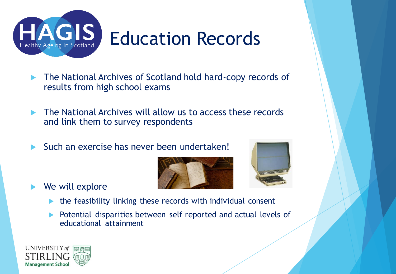

# Education Records

- **The National Archives of Scotland hold hard-copy records of** results from high school exams
- **The National Archives will allow us to access these records** and link them to survey respondents
- Such an exercise has never been undertaken!





- We will explore
	- $\blacktriangleright$  the feasibility linking these records with individual consent
	- **Potential disparities between self reported and actual levels of** educational attainment

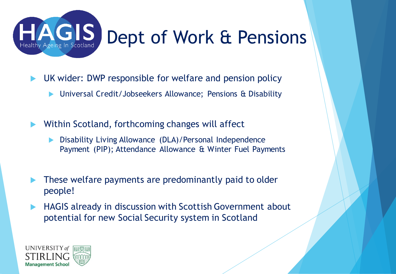

## Dept of Work & Pensions

- UK wider: DWP responsible for welfare and pension policy
	- Universal Credit/Jobseekers Allowance; Pensions & Disability
- Within Scotland, forthcoming changes will affect
	- ▶ Disability Living Allowance (DLA)/Personal Independence Payment (PIP); Attendance Allowance & Winter Fuel Payments
- These welfare payments are predominantly paid to older people!
- ▶ HAGIS already in discussion with Scottish Government about potential for new Social Security system in Scotland

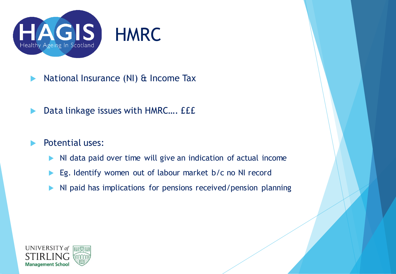

- **National Insurance (NI) & Income Tax**
- ▶ Data linkage issues with HMRC.... *EEE*
- Potential uses:
	- NI data paid over time will give an indication of actual income
	- Eg. Identify women out of labour market b/c no NI record
	- I NI paid has implications for pensions received/pension planning

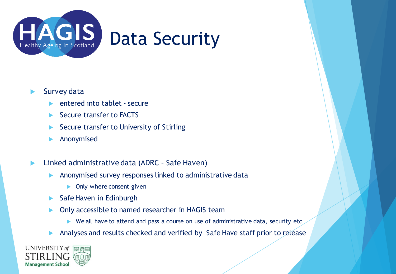

#### Survey data

- entered into tablet secure
- Secure transfer to FACTS
- Secure transfer to University of Stirling
- Anonymised
- ▶ Linked administrative data (ADRC Safe Haven)
	- **Anonymised survey responses linked to administrative data** 
		- **Diam** Only where consent given
	- $\blacktriangleright$  Safe Haven in Edinburgh
	- **Only accessible to named researcher in HAGIS team** 
		- $\triangleright$  We all have to attend and pass a course on use of administrative data, security etc
	- Analyses and results checked and verified by Safe Have staff prior to release

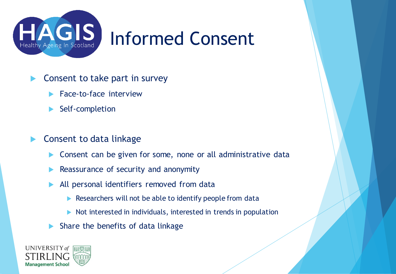

### Informed Consent

- **Consent to take part in survey** 
	- Face-to-face interview
	- Self-completion
- **Consent to data linkage** 
	- **Consent can be given for some, none or all administrative data**
	- Reassurance of security and anonymity
	- All personal identifiers removed from data
		- Researchers will not be able to identify people from data
		- $\triangleright$  Not interested in individuals, interested in trends in population
	- Share the benefits of data linkage

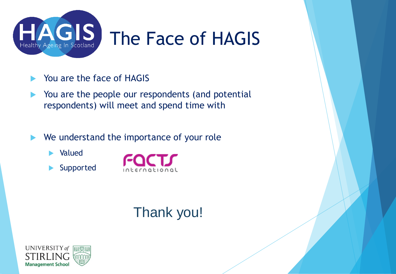

- You are the face of HAGIS
- You are the people our respondents (and potential respondents) will meet and spend time with
- We understand the importance of your role
	- **E** Valued
	- Supported



### Thank you!